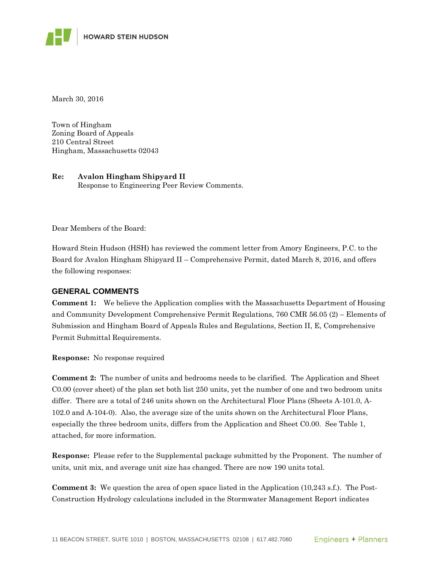March 30, 2016

Town of Hingham Zoning Board of Appeals 210 Central Street Hingham, Massachusetts 02043

**Re: Avalon Hingham Shipyard II**  Response to Engineering Peer Review Comments.

Dear Members of the Board:

Howard Stein Hudson (HSH) has reviewed the comment letter from Amory Engineers, P.C. to the Board for Avalon Hingham Shipyard II – Comprehensive Permit, dated March 8, 2016, and offers the following responses:

## **GENERAL COMMENTS**

**Comment 1:** We believe the Application complies with the Massachusetts Department of Housing and Community Development Comprehensive Permit Regulations, 760 CMR 56.05 (2) – Elements of Submission and Hingham Board of Appeals Rules and Regulations, Section II, E, Comprehensive Permit Submittal Requirements.

**Response:** No response required

**Comment 2:** The number of units and bedrooms needs to be clarified. The Application and Sheet C0.00 (cover sheet) of the plan set both list 250 units, yet the number of one and two bedroom units differ. There are a total of 246 units shown on the Architectural Floor Plans (Sheets A-101.0, A-102.0 and A-104-0). Also, the average size of the units shown on the Architectural Floor Plans, especially the three bedroom units, differs from the Application and Sheet C0.00. See Table 1, attached, for more information.

**Response:** Please refer to the Supplemental package submitted by the Proponent. The number of units, unit mix, and average unit size has changed. There are now 190 units total.

**Comment 3:** We question the area of open space listed in the Application (10,243 s.f.). The Post-Construction Hydrology calculations included in the Stormwater Management Report indicates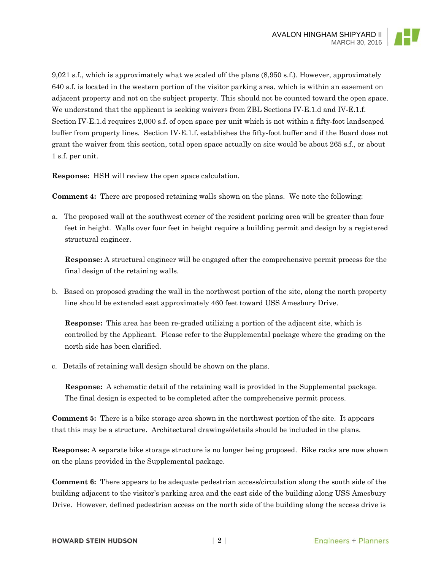9,021 s.f., which is approximately what we scaled off the plans (8,950 s.f.). However, approximately 640 s.f. is located in the western portion of the visitor parking area, which is within an easement on adjacent property and not on the subject property. This should not be counted toward the open space. We understand that the applicant is seeking waivers from ZBL Sections IV-E.1.d and IV-E.1.f. Section IV-E.1.d requires 2,000 s.f. of open space per unit which is not within a fifty-foot landscaped buffer from property lines. Section IV-E.1.f. establishes the fifty-foot buffer and if the Board does not grant the waiver from this section, total open space actually on site would be about 265 s.f., or about 1 s.f. per unit.

**Response:** HSH will review the open space calculation.

**Comment 4:** There are proposed retaining walls shown on the plans. We note the following:

a. The proposed wall at the southwest corner of the resident parking area will be greater than four feet in height. Walls over four feet in height require a building permit and design by a registered structural engineer.

**Response:** A structural engineer will be engaged after the comprehensive permit process for the final design of the retaining walls.

b. Based on proposed grading the wall in the northwest portion of the site, along the north property line should be extended east approximately 460 feet toward USS Amesbury Drive.

**Response:** This area has been re-graded utilizing a portion of the adjacent site, which is controlled by the Applicant. Please refer to the Supplemental package where the grading on the north side has been clarified.

c. Details of retaining wall design should be shown on the plans.

**Response:** A schematic detail of the retaining wall is provided in the Supplemental package. The final design is expected to be completed after the comprehensive permit process.

**Comment 5:** There is a bike storage area shown in the northwest portion of the site. It appears that this may be a structure. Architectural drawings/details should be included in the plans.

**Response:** A separate bike storage structure is no longer being proposed. Bike racks are now shown on the plans provided in the Supplemental package.

**Comment 6:** There appears to be adequate pedestrian access/circulation along the south side of the building adjacent to the visitor's parking area and the east side of the building along USS Amesbury Drive. However, defined pedestrian access on the north side of the building along the access drive is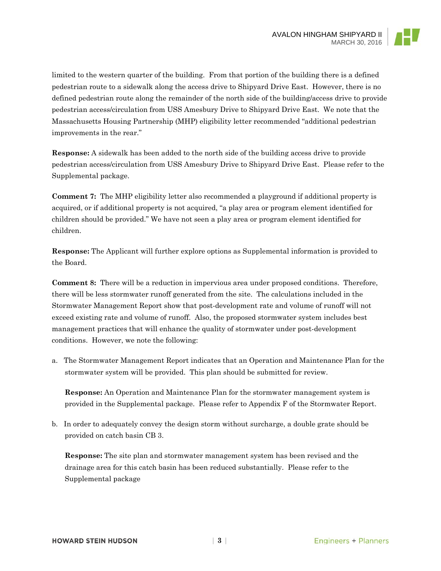limited to the western quarter of the building. From that portion of the building there is a defined pedestrian route to a sidewalk along the access drive to Shipyard Drive East. However, there is no defined pedestrian route along the remainder of the north side of the building/access drive to provide pedestrian access/circulation from USS Amesbury Drive to Shipyard Drive East. We note that the Massachusetts Housing Partnership (MHP) eligibility letter recommended "additional pedestrian improvements in the rear."

**Response:** A sidewalk has been added to the north side of the building access drive to provide pedestrian access/circulation from USS Amesbury Drive to Shipyard Drive East. Please refer to the Supplemental package.

**Comment 7:** The MHP eligibility letter also recommended a playground if additional property is acquired, or if additional property is not acquired, "a play area or program element identified for children should be provided." We have not seen a play area or program element identified for children.

**Response:** The Applicant will further explore options as Supplemental information is provided to the Board.

**Comment 8:** There will be a reduction in impervious area under proposed conditions. Therefore, there will be less stormwater runoff generated from the site. The calculations included in the Stormwater Management Report show that post-development rate and volume of runoff will not exceed existing rate and volume of runoff. Also, the proposed stormwater system includes best management practices that will enhance the quality of stormwater under post-development conditions. However, we note the following:

a. The Stormwater Management Report indicates that an Operation and Maintenance Plan for the stormwater system will be provided. This plan should be submitted for review.

**Response:** An Operation and Maintenance Plan for the stormwater management system is provided in the Supplemental package. Please refer to Appendix F of the Stormwater Report.

b. In order to adequately convey the design storm without surcharge, a double grate should be provided on catch basin CB 3.

**Response:** The site plan and stormwater management system has been revised and the drainage area for this catch basin has been reduced substantially. Please refer to the Supplemental package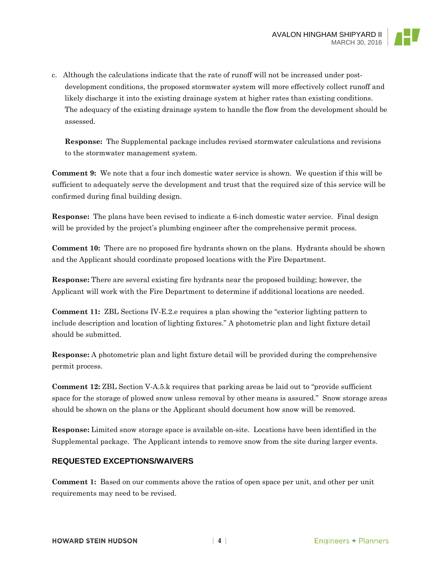

c. Although the calculations indicate that the rate of runoff will not be increased under postdevelopment conditions, the proposed stormwater system will more effectively collect runoff and likely discharge it into the existing drainage system at higher rates than existing conditions. The adequacy of the existing drainage system to handle the flow from the development should be assessed.

**Response:** The Supplemental package includes revised stormwater calculations and revisions to the stormwater management system.

**Comment 9:** We note that a four inch domestic water service is shown. We question if this will be sufficient to adequately serve the development and trust that the required size of this service will be confirmed during final building design.

**Response:** The plans have been revised to indicate a 6-inch domestic water service. Final design will be provided by the project's plumbing engineer after the comprehensive permit process.

**Comment 10:** There are no proposed fire hydrants shown on the plans. Hydrants should be shown and the Applicant should coordinate proposed locations with the Fire Department.

**Response:** There are several existing fire hydrants near the proposed building; however, the Applicant will work with the Fire Department to determine if additional locations are needed.

**Comment 11:** ZBL Sections IV-E.2.e requires a plan showing the "exterior lighting pattern to include description and location of lighting fixtures." A photometric plan and light fixture detail should be submitted.

**Response:** A photometric plan and light fixture detail will be provided during the comprehensive permit process.

**Comment 12:** ZBL Section V-A.5.k requires that parking areas be laid out to "provide sufficient space for the storage of plowed snow unless removal by other means is assured." Snow storage areas should be shown on the plans or the Applicant should document how snow will be removed.

**Response:** Limited snow storage space is available on-site. Locations have been identified in the Supplemental package. The Applicant intends to remove snow from the site during larger events.

## **REQUESTED EXCEPTIONS/WAIVERS**

**Comment 1:** Based on our comments above the ratios of open space per unit, and other per unit requirements may need to be revised.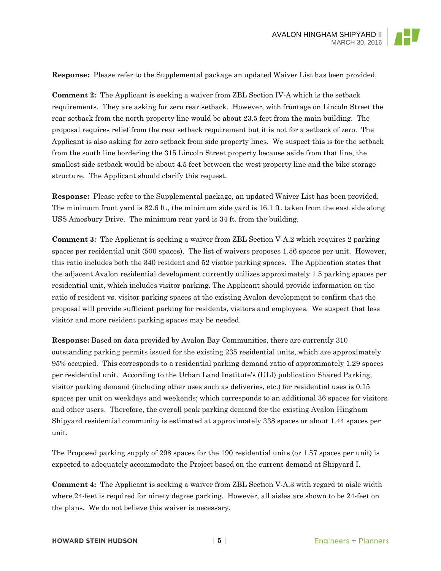**Response:** Please refer to the Supplemental package an updated Waiver List has been provided.

**Comment 2:** The Applicant is seeking a waiver from ZBL Section IV-A which is the setback requirements. They are asking for zero rear setback. However, with frontage on Lincoln Street the rear setback from the north property line would be about 23.5 feet from the main building. The proposal requires relief from the rear setback requirement but it is not for a setback of zero. The Applicant is also asking for zero setback from side property lines. We suspect this is for the setback from the south line bordering the 315 Lincoln Street property because aside from that line, the smallest side setback would be about 4.5 feet between the west property line and the bike storage structure. The Applicant should clarify this request.

**Response:** Please refer to the Supplemental package, an updated Waiver List has been provided. The minimum front yard is 82.6 ft., the minimum side yard is 16.1 ft. taken from the east side along USS Amesbury Drive. The minimum rear yard is 34 ft. from the building.

**Comment 3:** The Applicant is seeking a waiver from ZBL Section V-A.2 which requires 2 parking spaces per residential unit (500 spaces). The list of waivers proposes 1.56 spaces per unit. However, this ratio includes both the 340 resident and 52 visitor parking spaces. The Application states that the adjacent Avalon residential development currently utilizes approximately 1.5 parking spaces per residential unit, which includes visitor parking. The Applicant should provide information on the ratio of resident vs. visitor parking spaces at the existing Avalon development to confirm that the proposal will provide sufficient parking for residents, visitors and employees. We suspect that less visitor and more resident parking spaces may be needed.

**Response:** Based on data provided by Avalon Bay Communities, there are currently 310 outstanding parking permits issued for the existing 235 residential units, which are approximately 95% occupied. This corresponds to a residential parking demand ratio of approximately 1.29 spaces per residential unit. According to the Urban Land Institute's (ULI) publication Shared Parking, visitor parking demand (including other uses such as deliveries, etc.) for residential uses is 0.15 spaces per unit on weekdays and weekends; which corresponds to an additional 36 spaces for visitors and other users. Therefore, the overall peak parking demand for the existing Avalon Hingham Shipyard residential community is estimated at approximately 338 spaces or about 1.44 spaces per unit.

The Proposed parking supply of 298 spaces for the 190 residential units (or 1.57 spaces per unit) is expected to adequately accommodate the Project based on the current demand at Shipyard I.

**Comment 4:** The Applicant is seeking a waiver from ZBL Section V-A.3 with regard to aisle width where 24-feet is required for ninety degree parking. However, all aisles are shown to be 24-feet on the plans. We do not believe this waiver is necessary.